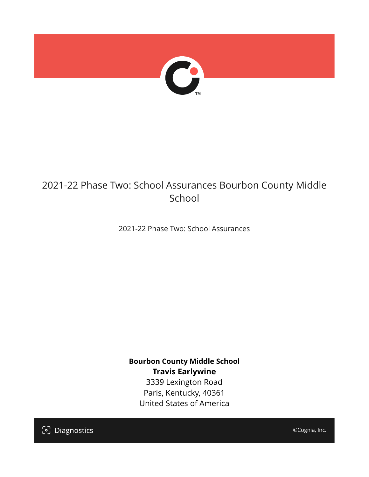

## 2021-22 Phase Two: School Assurances Bourbon County Middle School

2021-22 Phase Two: School Assurances

**Bourbon County Middle School Travis Earlywine** 3339 Lexington Road Paris, Kentucky, 40361 United States of America

[၁] Diagnostics

©Cognia, Inc.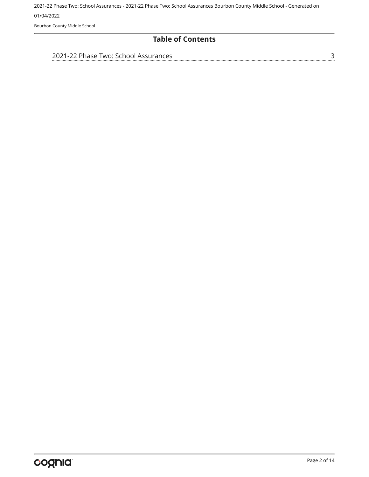Bourbon County Middle School

#### **Table of Contents**

| 2021-22 Phase Two: School Assurances |  |
|--------------------------------------|--|
|                                      |  |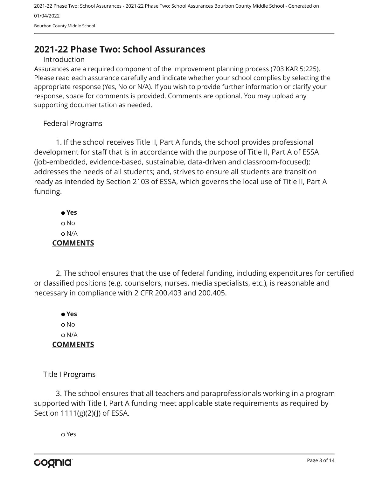Bourbon County Middle School

### <span id="page-2-0"></span>**2021-22 Phase Two: School Assurances**

#### Introduction

Assurances are a required component of the improvement planning process (703 KAR 5:225). Please read each assurance carefully and indicate whether your school complies by selecting the appropriate response (Yes, No or N/A). If you wish to provide further information or clarify your response, space for comments is provided. Comments are optional. You may upload any supporting documentation as needed.

#### Federal Programs

1. If the school receives Title II, Part A funds, the school provides professional development for staff that is in accordance with the purpose of Title II, Part A of ESSA (job-embedded, evidence-based, sustainable, data-driven and classroom-focused); addresses the needs of all students; and, strives to ensure all students are transition ready as intended by Section 2103 of ESSA, which governs the local use of Title II, Part A funding.

 **Yes** o No N/A **COMMENTS**

2. The school ensures that the use of federal funding, including expenditures for certified or classified positions (e.g. counselors, nurses, media specialists, etc.), is reasonable and necessary in compliance with 2 CFR 200.403 and 200.405.

 **Yes** o No N/A **COMMENTS**

Title I Programs

3. The school ensures that all teachers and paraprofessionals working in a program supported with Title I, Part A funding meet applicable state requirements as required by Section 1111(g)(2)(J) of ESSA.

Yes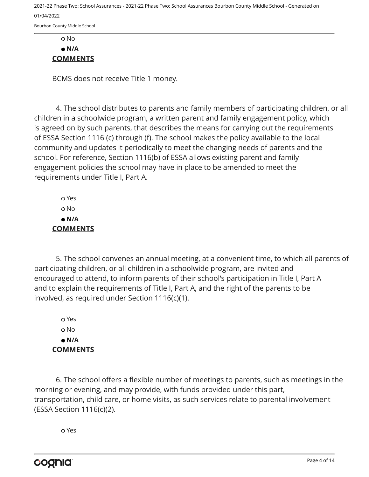Bourbon County Middle School

#### No  **N/A COMMENTS**

BCMS does not receive Title 1 money.

4. The school distributes to parents and family members of participating children, or all children in a schoolwide program, a written parent and family engagement policy, which is agreed on by such parents, that describes the means for carrying out the requirements of ESSA Section 1116 (c) through (f). The school makes the policy available to the local community and updates it periodically to meet the changing needs of parents and the school. For reference, Section 1116(b) of ESSA allows existing parent and family engagement policies the school may have in place to be amended to meet the requirements under Title I, Part A.

 Yes o No  **N/A COMMENTS**

5. The school convenes an annual meeting, at a convenient time, to which all parents of participating children, or all children in a schoolwide program, are invited and encouraged to attend, to inform parents of their school's participation in Title I, Part A and to explain the requirements of Title I, Part A, and the right of the parents to be involved, as required under Section 1116(c)(1).

 Yes No  **N/A COMMENTS**

6. The school offers a flexible number of meetings to parents, such as meetings in the morning or evening, and may provide, with funds provided under this part, transportation, child care, or home visits, as such services relate to parental involvement (ESSA Section 1116(c)(2).

Yes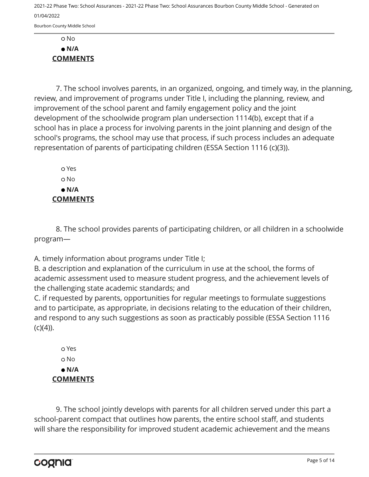Bourbon County Middle School

 No  **N/A COMMENTS**

7. The school involves parents, in an organized, ongoing, and timely way, in the planning, review, and improvement of programs under Title I, including the planning, review, and improvement of the school parent and family engagement policy and the joint development of the schoolwide program plan undersection 1114(b), except that if a school has in place a process for involving parents in the joint planning and design of the school's programs, the school may use that process, if such process includes an adequate representation of parents of participating children (ESSA Section 1116 (c)(3)).

 Yes No  **N/A COMMENTS**

8. The school provides parents of participating children, or all children in a schoolwide program—

A. timely information about programs under Title I;

B. a description and explanation of the curriculum in use at the school, the forms of academic assessment used to measure student progress, and the achievement levels of the challenging state academic standards; and

C. if requested by parents, opportunities for regular meetings to formulate suggestions and to participate, as appropriate, in decisions relating to the education of their children, and respond to any such suggestions as soon as practicably possible (ESSA Section 1116  $(C)(4)$ ).

 Yes No  **N/A COMMENTS**

9. The school jointly develops with parents for all children served under this part a school-parent compact that outlines how parents, the entire school staff, and students will share the responsibility for improved student academic achievement and the means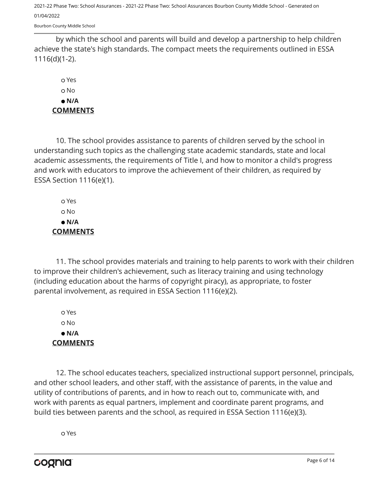Bourbon County Middle School

by which the school and parents will build and develop a partnership to help children achieve the state's high standards. The compact meets the requirements outlined in ESSA 1116(d)(1-2).

 Yes No  **N/A COMMENTS**

10. The school provides assistance to parents of children served by the school in understanding such topics as the challenging state academic standards, state and local academic assessments, the requirements of Title I, and how to monitor a child's progress and work with educators to improve the achievement of their children, as required by ESSA Section 1116(e)(1).

 Yes o No  **N/A COMMENTS**

11. The school provides materials and training to help parents to work with their children to improve their children's achievement, such as literacy training and using technology (including education about the harms of copyright piracy), as appropriate, to foster parental involvement, as required in ESSA Section 1116(e)(2).

 Yes No  **N/A COMMENTS**

12. The school educates teachers, specialized instructional support personnel, principals, and other school leaders, and other staff, with the assistance of parents, in the value and utility of contributions of parents, and in how to reach out to, communicate with, and work with parents as equal partners, implement and coordinate parent programs, and build ties between parents and the school, as required in ESSA Section 1116(e)(3).

Yes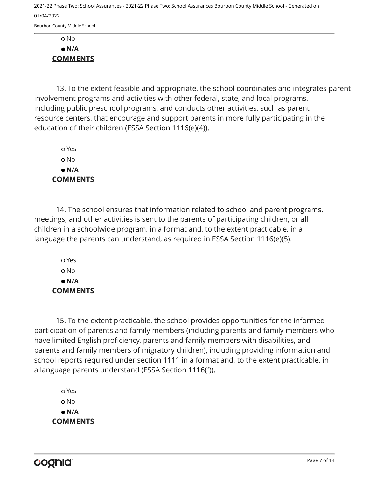Bourbon County Middle School

 No  **N/A COMMENTS**

13. To the extent feasible and appropriate, the school coordinates and integrates parent involvement programs and activities with other federal, state, and local programs, including public preschool programs, and conducts other activities, such as parent resource centers, that encourage and support parents in more fully participating in the education of their children (ESSA Section 1116(e)(4)).

 Yes o No  **N/A COMMENTS**

14. The school ensures that information related to school and parent programs, meetings, and other activities is sent to the parents of participating children, or all children in a schoolwide program, in a format and, to the extent practicable, in a language the parents can understand, as required in ESSA Section 1116(e)(5).

 Yes No  **N/A COMMENTS**

15. To the extent practicable, the school provides opportunities for the informed participation of parents and family members (including parents and family members who have limited English proficiency, parents and family members with disabilities, and parents and family members of migratory children), including providing information and school reports required under section 1111 in a format and, to the extent practicable, in a language parents understand (ESSA Section 1116(f)).

 Yes o No  **N/A COMMENTS**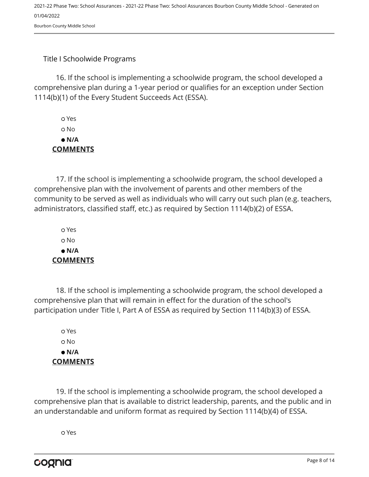#### Title I Schoolwide Programs

16. If the school is implementing a schoolwide program, the school developed a comprehensive plan during a 1-year period or qualifies for an exception under Section 1114(b)(1) of the Every Student Succeeds Act (ESSA).

 Yes o No  **N/A COMMENTS**

17. If the school is implementing a schoolwide program, the school developed a comprehensive plan with the involvement of parents and other members of the community to be served as well as individuals who will carry out such plan (e.g. teachers, administrators, classified staff, etc.) as required by Section 1114(b)(2) of ESSA.

 Yes No  **N/A COMMENTS**

18. If the school is implementing a schoolwide program, the school developed a comprehensive plan that will remain in effect for the duration of the school's participation under Title I, Part A of ESSA as required by Section 1114(b)(3) of ESSA.

 Yes No  **N/A COMMENTS**

19. If the school is implementing a schoolwide program, the school developed a comprehensive plan that is available to district leadership, parents, and the public and in an understandable and uniform format as required by Section 1114(b)(4) of ESSA.

Yes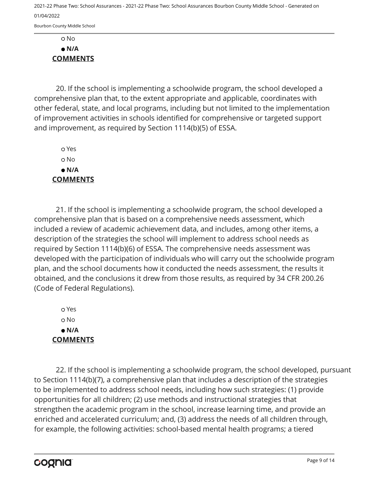Bourbon County Middle School

 No  **N/A COMMENTS**

20. If the school is implementing a schoolwide program, the school developed a comprehensive plan that, to the extent appropriate and applicable, coordinates with other federal, state, and local programs, including but not limited to the implementation of improvement activities in schools identified for comprehensive or targeted support and improvement, as required by Section 1114(b)(5) of ESSA.

 Yes o No  **N/A COMMENTS**

21. If the school is implementing a schoolwide program, the school developed a comprehensive plan that is based on a comprehensive needs assessment, which included a review of academic achievement data, and includes, among other items, a description of the strategies the school will implement to address school needs as required by Section 1114(b)(6) of ESSA. The comprehensive needs assessment was developed with the participation of individuals who will carry out the schoolwide program plan, and the school documents how it conducted the needs assessment, the results it obtained, and the conclusions it drew from those results, as required by 34 CFR 200.26 (Code of Federal Regulations).

 Yes o No  **N/A COMMENTS**

22. If the school is implementing a schoolwide program, the school developed, pursuant to Section 1114(b)(7), a comprehensive plan that includes a description of the strategies to be implemented to address school needs, including how such strategies: (1) provide opportunities for all children; (2) use methods and instructional strategies that strengthen the academic program in the school, increase learning time, and provide an enriched and accelerated curriculum; and, (3) address the needs of all children through, for example, the following activities: school-based mental health programs; a tiered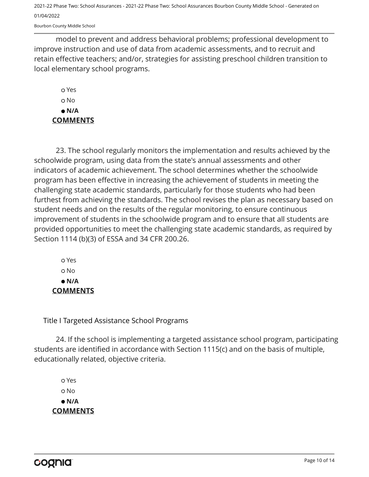Bourbon County Middle School

model to prevent and address behavioral problems; professional development to improve instruction and use of data from academic assessments, and to recruit and retain effective teachers; and/or, strategies for assisting preschool children transition to local elementary school programs.

 Yes o No  **N/A COMMENTS**

23. The school regularly monitors the implementation and results achieved by the schoolwide program, using data from the state's annual assessments and other indicators of academic achievement. The school determines whether the schoolwide program has been effective in increasing the achievement of students in meeting the challenging state academic standards, particularly for those students who had been furthest from achieving the standards. The school revises the plan as necessary based on student needs and on the results of the regular monitoring, to ensure continuous improvement of students in the schoolwide program and to ensure that all students are provided opportunities to meet the challenging state academic standards, as required by Section 1114 (b)(3) of ESSA and 34 CFR 200.26.

 Yes No  **N/A COMMENTS**

Title I Targeted Assistance School Programs

24. If the school is implementing a targeted assistance school program, participating students are identified in accordance with Section 1115(c) and on the basis of multiple, educationally related, objective criteria.

 Yes No  **N/A COMMENTS**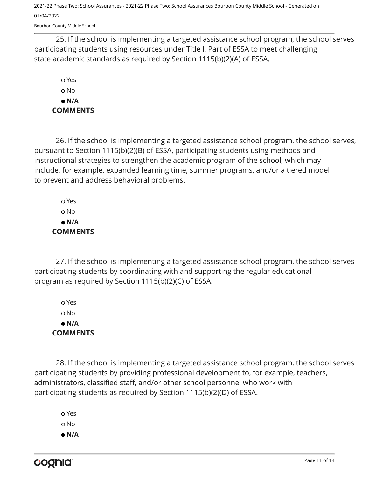Bourbon County Middle School

25. If the school is implementing a targeted assistance school program, the school serves participating students using resources under Title I, Part of ESSA to meet challenging state academic standards as required by Section 1115(b)(2)(A) of ESSA.

 Yes No  **N/A COMMENTS**

26. If the school is implementing a targeted assistance school program, the school serves, pursuant to Section 1115(b)(2)(B) of ESSA, participating students using methods and instructional strategies to strengthen the academic program of the school, which may include, for example, expanded learning time, summer programs, and/or a tiered model to prevent and address behavioral problems.

 Yes o No  **N/A COMMENTS**

27. If the school is implementing a targeted assistance school program, the school serves participating students by coordinating with and supporting the regular educational program as required by Section 1115(b)(2)(C) of ESSA.

 Yes No  **N/A COMMENTS**

28. If the school is implementing a targeted assistance school program, the school serves participating students by providing professional development to, for example, teachers, administrators, classified staff, and/or other school personnel who work with participating students as required by Section 1115(b)(2)(D) of ESSA.

 Yes o No  **N/A**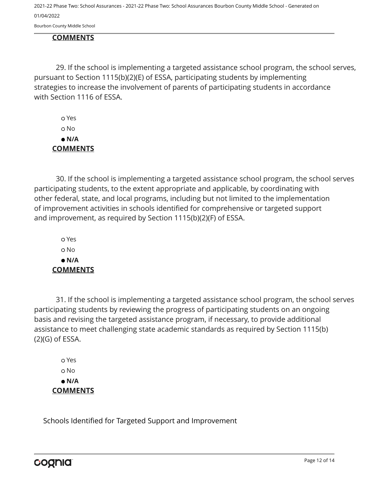Bourbon County Middle School

#### **COMMENTS**

29. If the school is implementing a targeted assistance school program, the school serves, pursuant to Section 1115(b)(2)(E) of ESSA, participating students by implementing strategies to increase the involvement of parents of participating students in accordance with Section 1116 of ESSA.

 Yes o No  **N/A COMMENTS**

30. If the school is implementing a targeted assistance school program, the school serves participating students, to the extent appropriate and applicable, by coordinating with other federal, state, and local programs, including but not limited to the implementation of improvement activities in schools identified for comprehensive or targeted support and improvement, as required by Section 1115(b)(2)(F) of ESSA.

 Yes o No  **N/A COMMENTS**

31. If the school is implementing a targeted assistance school program, the school serves participating students by reviewing the progress of participating students on an ongoing basis and revising the targeted assistance program, if necessary, to provide additional assistance to meet challenging state academic standards as required by Section 1115(b) (2)(G) of ESSA.

 Yes No  **N/A COMMENTS**

Schools Identified for Targeted Support and Improvement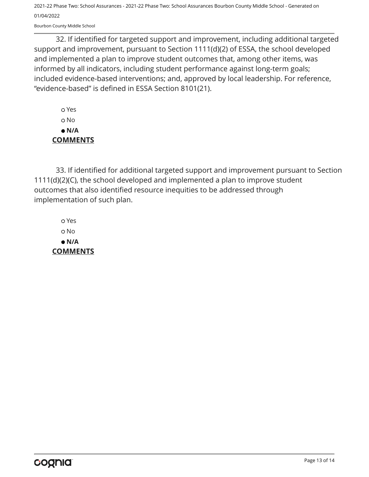Bourbon County Middle School

32. If identified for targeted support and improvement, including additional targeted support and improvement, pursuant to Section 1111(d)(2) of ESSA, the school developed and implemented a plan to improve student outcomes that, among other items, was informed by all indicators, including student performance against long-term goals; included evidence-based interventions; and, approved by local leadership. For reference, "evidence-based" is defined in ESSA Section 8101(21).

 Yes o No  **N/A COMMENTS**

33. If identified for additional targeted support and improvement pursuant to Section 1111(d)(2)(C), the school developed and implemented a plan to improve student outcomes that also identified resource inequities to be addressed through implementation of such plan.

 Yes No  **N/A COMMENTS**